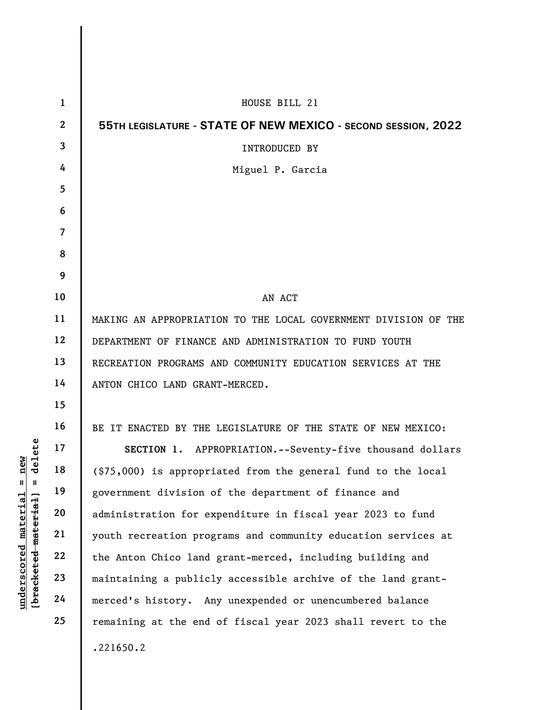|                                                         | $\mathbf{1}$            | HOUSE BILL 21                                                   |
|---------------------------------------------------------|-------------------------|-----------------------------------------------------------------|
|                                                         | $\mathbf{2}$            | 55TH LEGISLATURE - STATE OF NEW MEXICO - SECOND SESSION, 2022   |
|                                                         | $\overline{\mathbf{3}}$ | INTRODUCED BY                                                   |
|                                                         | 4                       | Miguel P. Garcia                                                |
|                                                         | 5                       |                                                                 |
|                                                         | 6                       |                                                                 |
|                                                         | $\overline{7}$          |                                                                 |
|                                                         | 8                       |                                                                 |
|                                                         | 9                       |                                                                 |
|                                                         | 10                      | AN ACT                                                          |
|                                                         | 11                      | MAKING AN APPROPRIATION TO THE LOCAL GOVERNMENT DIVISION OF THE |
|                                                         | 12                      | DEPARTMENT OF FINANCE AND ADMINISTRATION TO FUND YOUTH          |
|                                                         | 13                      | RECREATION PROGRAMS AND COMMUNITY EDUCATION SERVICES AT THE     |
|                                                         | 14                      | ANTON CHICO LAND GRANT-MERCED.                                  |
|                                                         | 15                      |                                                                 |
|                                                         | 16                      | BE IT ENACTED BY THE LEGISLATURE OF THE STATE OF NEW MEXICO:    |
| elete                                                   | 17                      | SECTION 1. APPROPRIATION.--Seventy-five thousand dollars        |
| <u>a</u><br>딘<br>᠊ᠣ                                     | 18                      | (\$75,000) is appropriated from the general fund to the local   |
| Ш                                                       | 19                      | government division of the department of finance and            |
|                                                         | 20                      | administration for expenditure in fiscal year 2023 to fund      |
|                                                         | 21                      | youth recreation programs and community education services at   |
| underscored material<br>[ <del>bracketed material</del> | 22                      | the Anton Chico land grant-merced, including building and       |
|                                                         | 23                      | maintaining a publicly accessible archive of the land grant-    |
|                                                         | 24                      | merced's history. Any unexpended or unencumbered balance        |
|                                                         | 25                      | remaining at the end of fiscal year 2023 shall revert to the    |
|                                                         |                         | .221650.2                                                       |